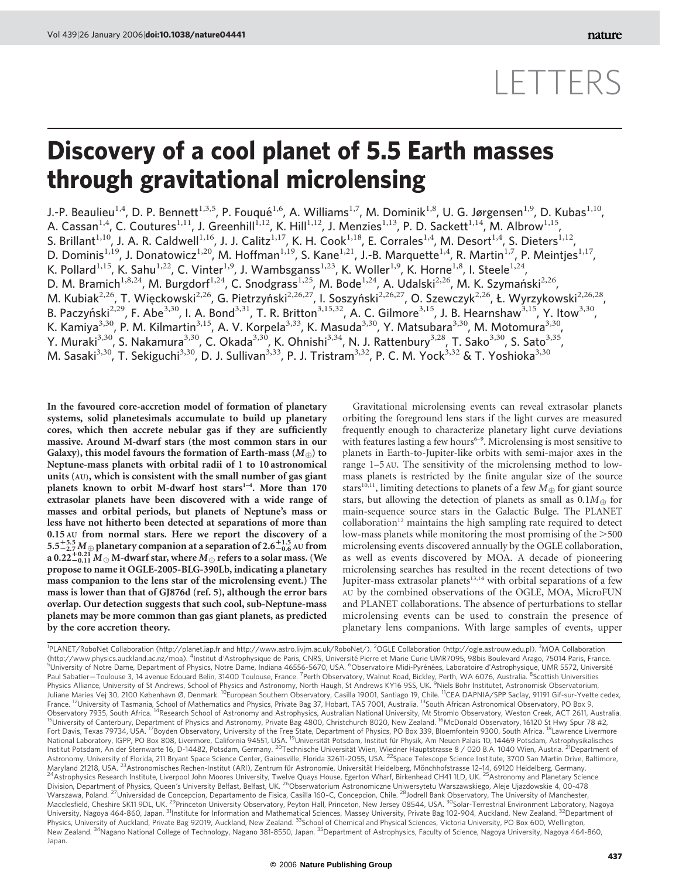## LETTERS

## Discovery of a cool planet of 5.5 Earth masses through gravitational microlensing

J.-P. Beaulieu<sup>1,4</sup>, D. P. Bennett<sup>1,3,5</sup>, P. Fouqué<sup>1,6</sup>, A. Williams<sup>1,7</sup>, M. Dominik<sup>1,8</sup>, U. G. Jørgensen<sup>1,9</sup>, D. Kubas<sup>1,10</sup>, A. Cassan $^{1,4}$ , C. Coutures $^{1,11}$ , J. Greenhill $^{1,12}$ , K. Hill $^{1,12}$ , J. Menzies $^{1,13}$ , P. D. Sackett $^{1,14}$ , M. Albrow $^{1,15}$ , S. Brillant<sup>1,10</sup>, J. A. R. Caldwell<sup>1,16</sup>, J. J. Calitz<sup>1,17</sup>, K. H. Cook<sup>1,18</sup>, E. Corrales<sup>1,4</sup>, M. Desort<sup>1,4</sup>, S. Dieters<sup>1,12</sup>, D. Dominis<sup>1,19</sup>, J. Donatowicz<sup>1,20</sup>, M. Hoffman<sup>1,19</sup>, S. Kane<sup>1,21</sup>, J.-B. Marquette<sup>1,4</sup>, R. Martin<sup>1,7</sup>, P. Meintjes<sup>1,17</sup>, K. Pollard<sup>1,15</sup>, K. Sahu<sup>1,22</sup>, C. Vinter<sup>1,9</sup>, J. Wambsganss<sup>1,23</sup>, K. Woller<sup>1,9</sup>, K. Horne<sup>1,8</sup>, I. Steele<sup>1,24</sup>, D. M. Bramich<sup>1,8,24</sup>, M. Burgdorf<sup>1,24</sup>, C. Snodgrass<sup>1,25</sup>, M. Bode<sup>1,24</sup>, A. Udalski<sup>2,26</sup>, M. K. Szymański<sup>2,26</sup>, M. Kubiak<sup>2,26</sup>, T. Więckowski<sup>2,26</sup>, G. Pietrzyński<sup>2,26,27</sup>, I. Soszyński<sup>2,26,27</sup>, O. Szewczyk<sup>2,26</sup>, Ł. Wyrzykowski<sup>2,26,28</sup>, B. Paczyński<sup>2,29</sup>, F. Abe<sup>3,30</sup>, I. A. Bond<sup>3,31</sup>, T. R. Britton<sup>3,15,32</sup>, A. C. Gilmore<sup>3,15</sup>, J. B. Hearnshaw<sup>3,15</sup>, Y. Itow<sup>3,30</sup>, K. Kamiya<sup>3,30</sup>, P. M. Kilmartin<sup>3,15</sup>, A. V. Korpela<sup>3,33</sup>, K. Masuda<sup>3,30</sup>, Y. Matsubara<sup>3,30</sup>, M. Motomura<sup>3,30</sup>, Y. Muraki<sup>3,30</sup>, S. Nakamura<sup>3,30</sup>, C. Okada<sup>3,30</sup>, K. Ohnishi<sup>3,34</sup>, N. J. Rattenbury<sup>3,28</sup>, T. Sako<sup>3,30</sup>, S. Sato<sup>3,35</sup>, M. Sasaki<sup>3,30</sup>, T. Sekiguchi<sup>3,30</sup>, D. J. Sullivan<sup>3,33</sup>, P. J. Tristram<sup>3,32</sup>, P. C. M. Yock<sup>3,32</sup> & T. Yoshioka<sup>3,30</sup>

In the favoured core-accretion model of formation of planetary systems, solid planetesimals accumulate to build up planetary cores, which then accrete nebular gas if they are sufficiently massive. Around M-dwarf stars (the most common stars in our Galaxy), this model favours the formation of Earth-mass  $(M_{\oplus})$  to Neptune-mass planets with orbital radii of 1 to 10 astronomical units (AU), which is consistent with the small number of gas giant planets known to orbit M-dwarf host stars<sup>1-4</sup>. More than 170 extrasolar planets have been discovered with a wide range of masses and orbital periods, but planets of Neptune's mass or less have not hitherto been detected at separations of more than 0.15 AU from normal stars. Here we report the discovery of a  $5.5^{+5.5}_{-2.7}$  M  $\oplus$  planetary companion at a separation of 2.6 $^{+1.5}_{-0.6}$  AU from a 0.22+0.21  $\overline{M}_\odot$  M-dwarf star, where  $\overline{M}_\odot$  refers to a solar mass. (We propose to name it OGLE-2005-BLG-390Lb, indicating a planetary mass companion to the lens star of the microlensing event.) The mass is lower than that of GJ876d (ref. 5), although the error bars overlap. Our detection suggests that such cool, sub-Neptune-mass planets may be more common than gas giant planets, as predicted by the core accretion theory.

Gravitational microlensing events can reveal extrasolar planets orbiting the foreground lens stars if the light curves are measured frequently enough to characterize planetary light curve deviations with features lasting a few hours $6-9$ . Microlensing is most sensitive to planets in Earth-to-Jupiter-like orbits with semi-major axes in the range 1–5 AU. The sensitivity of the microlensing method to lowmass planets is restricted by the finite angular size of the source stars<sup>10,11</sup>, limiting detections to planets of a few  $M_{\oplus}$  for giant source stars, but allowing the detection of planets as small as  $0.1M_{\oplus}$  for main-sequence source stars in the Galactic Bulge. The PLANET collaboration<sup>12</sup> maintains the high sampling rate required to detect low-mass planets while monitoring the most promising of the  $>500$ microlensing events discovered annually by the OGLE collaboration, as well as events discovered by MOA. A decade of pioneering microlensing searches has resulted in the recent detections of two Jupiter-mass extrasolar planets<sup>13,14</sup> with orbital separations of a few AU by the combined observations of the OGLE, MOA, MicroFUN and PLANET collaborations. The absence of perturbations to stellar microlensing events can be used to constrain the presence of planetary lens companions. With large samples of events, upper

<sup>1</sup>PLANET/RoboNet Collaboration (http://planet.iap.fr and http://www.astro.livjm.ac.uk/RoboNet/). <sup>2</sup>OGLE Collaboration (http://ogle.astrouw.edu.pl). <sup>3</sup>MOA Collaboration (http://www.physics.auckland.ac.nz/moa). <sup>4</sup>Institut d'Astrophysique de Paris, CNRS, Université Pierre et Marie Curie UMR7095, 98bis Boulevard Arago, 75014 Paris, France.<br><sup>5</sup>Lhiversity of Notre Dame, Department of Physics, University of Notre Dame, Department of Physics, Notre Dame, Indiana 46556-5670, USA. <sup>6</sup>Observatoire Midi-Pyrénées, Laboratoire d'Astrophysique, UMR 5572, Université Paul Sabatier—Toulouse 3, 14 avenue Edouard Belin, 31400 Toulouse, France. <sup>7</sup>Perth Observatory, Walnut Road, Bickley, Perth, WA 6076, Australia. <sup>8</sup>Scottish Universities<br>Physics Alliance, University of St Andrews, School Juliane Maries Vej 30, 2100 København Ø, Denmark. 10European Southern Observatory, Casilla 19001, Santiago 19, Chile. 11CEA DAPNIA/SPP Saclay, 91191 Gif-sur-Yvette cedex, France. <sup>12</sup>University of Tasmania, School of Mathematics and Physics, Private Bag 37, Hobart, TAS 7001, Australia. <sup>13</sup>South African Astronomical Observatory, PO Box 9,<br>Observatory 7935, South Africa. <sup>14</sup>Research School Observatory 7935, South Africa. <sup>14</sup>Research School of Astronomy and Astrophysics, Australian National University, Mt Stromlo Observatory, Weston Creek, ACT 2611, Australia.<br><sup>15</sup>University of Canterbury, Department of Phys Fort Davis, Texas 79734, USA. <sup>17</sup>Boyden Observatory, University of the Free State, Department of Physics, PO Box 339, Bloemfontein 9300, South Africa. <sup>18</sup>Lawrence Livermore National Laboratory, IGPP, PO Box 808, Livermore, California 94551, USA. <sup>19</sup>Universität Potsdam, Institut für Physik, Am Neuen Palais 10, 14469 Potsdam, Astrophysikalisches Institut Potsdam, An der Sternwarte 16, D-14482, Potsdam, Germany. <sup>20</sup>Technische Universität Wien, Wiedner Hauptstrasse 8 / 020 B.A. 1040 Wien, Austria. <sup>21</sup>Department of Astronomy, University of Florida, 211 Bryant Space Science Center, Gainesville, Florida 32611-2055, USA. <sup>22</sup>Space Telescope Science Institute, 3700 San Martin Drive, Baltimore,<br>Maryland 21218, USA. <sup>23</sup>Astronomisches Rech <sup>24</sup> Astrophysics Research Institute, Liverpool John Moores University, Twelve Quays House, Egerton Wharf, Birkenhead CH41 1LD, UK.<sup>25</sup> Astronomy and Planetary Science Division, Department of Physics, Queen's University Belfast, Belfast, UK. <sup>26</sup>Obserwatorium Astronomiczne Uniwersytetu Warszawskiego, Aleje Ujazdowskie 4, 00-478 Warszawa, Poland. 27Universidad de Concepcion, Departamento de Fisica, Casilla 160–C, Concepcion, Chile. 28Jodrell Bank Observatory, The University of Manchester, Macclesfield, Cheshire SK11 9DL, UK. <sup>29</sup>Princeton University Observatory, Peyton Hall, Princeton, New Jersey 08544, USA. <sup>30</sup>Solar-Terrestrial Environment Laboratory, Nagoya University, Nagoya 464-860, Japan. <sup>31</sup>Institute for Information and Mathematical Sciences, Massey University, Private Bag 102-904, Auckland, New Zealand. <sup>32</sup>Department of Physics, University of Auckland, Private Bag 92019, Auckland, New Zealand. <sup>33</sup>School of Chemical and Physical Sciences, Victoria University, PO Box 600, Wellington, New Zealand. <sup>34</sup>Nagano National College of Technology, Nagano 381-8550, Japan. <sup>35</sup>Department of Astrophysics, Faculty of Science, Nagoya University, Nagoya 464-860, Japan.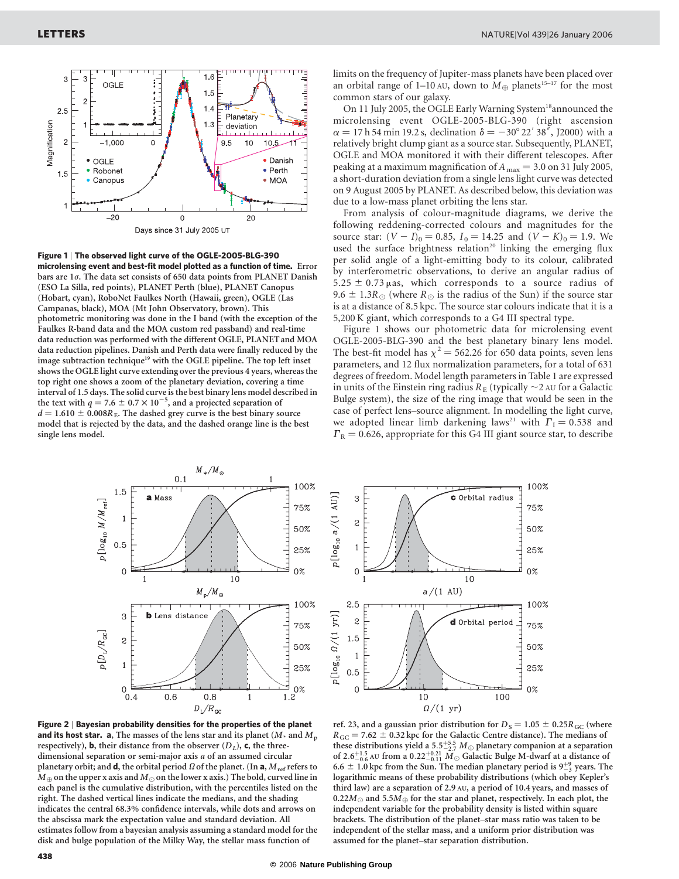

Figure 1 | The observed light curve of the OGLE-2005-BLG-390 microlensing event and best-fit model plotted as a function of time. Error bars are  $1\sigma$ . The data set consists of 650 data points from PLANET Danish (ESO La Silla, red points), PLANET Perth (blue), PLANET Canopus (Hobart, cyan), RoboNet Faulkes North (Hawaii, green), OGLE (Las Campanas, black), MOA (Mt John Observatory, brown). This photometric monitoring was done in the I band (with the exception of the Faulkes R-band data and the MOA custom red passband) and real-time data reduction was performed with the different OGLE, PLANET and MOA data reduction pipelines. Danish and Perth data were finally reduced by the image subtraction technique<sup>19</sup> with the OGLE pipeline. The top left inset shows the OGLE light curve extending over the previous 4 years, whereas the top right one shows a zoom of the planetary deviation, covering a time interval of 1.5 days. The solid curve is the best binary lens model described in the text with  $q = 7.6 \pm 0.7 \times 10^{-5}$ , and a projected separation of  $d = 1.610 \pm 0.008R_E$ . The dashed grey curve is the best binary source model that is rejected by the data, and the dashed orange line is the best single lens model.

limits on the frequency of Jupiter-mass planets have been placed over an orbital range of 1–10 AU, down to  $M_{\oplus}$  planets<sup>15–17</sup> for the most common stars of our galaxy.

On 11 July 2005, the OGLE Early Warning System<sup>18</sup>announced the microlensing event OGLE-2005-BLG-390 (right ascension  $\alpha = 17$  h 54 min 19.2 s, declination  $\delta = -30^{\circ} 22' 38''$ , J2000) with a relatively bright clump giant as a source star. Subsequently, PLANET, OGLE and MOA monitored it with their different telescopes. After peaking at a maximum magnification of  $A_{\text{max}} = 3.0$  on 31 July 2005, a short-duration deviation from a single lens light curve was detected on 9 August 2005 by PLANET. As described below, this deviation was due to a low-mass planet orbiting the lens star.

From analysis of colour-magnitude diagrams, we derive the following reddening-corrected colours and magnitudes for the source star:  $(V - I)_0 = 0.85$ ,  $I_0 = 14.25$  and  $(V - K)_0 = 1.9$ . We used the surface brightness relation<sup>20</sup> linking the emerging flux per solid angle of a light-emitting body to its colour, calibrated by interferometric observations, to derive an angular radius of  $5.25 \pm 0.73$  µas, which corresponds to a source radius of 9.6  $\pm$  1.3R<sub> $\odot$ </sub> (where R<sub> $\odot$ </sub> is the radius of the Sun) if the source star is at a distance of 8.5 kpc. The source star colours indicate that it is a 5,200 K giant, which corresponds to a G4 III spectral type.

Figure 1 shows our photometric data for microlensing event OGLE-2005-BLG-390 and the best planetary binary lens model. The best-fit model has  $\chi^2$  = 562.26 for 650 data points, seven lens parameters, and 12 flux normalization parameters, for a total of 631 degrees of freedom. Model length parameters in Table 1 are expressed in units of the Einstein ring radius  $R_E$  (typically  $\sim$  2 AU for a Galactic Bulge system), the size of the ring image that would be seen in the case of perfect lens–source alignment. In modelling the light curve, we adopted linear limb darkening laws<sup>21</sup> with  $\Gamma_1 = 0.538$  and  $\Gamma_{\rm R}$  = 0.626, appropriate for this G4 III giant source star, to describe



Figure 2 | Bayesian probability densities for the properties of the planet and its host star. a, The masses of the lens star and its planet ( $M_{\star}$  and  $M_{\rm p}$ ) respectively), **b**, their distance from the observer  $(D_L)$ , **c**, the threedimensional separation or semi-major axis a of an assumed circular planetary orbit; and **d**, the orbital period  $\Omega$  of the planet. (In **a**,  $M_{\text{ref}}$  refers to  $M_{\oplus}$  on the upper x axis and  $M_{\odot}$  on the lower x axis.) The bold, curved line in each panel is the cumulative distribution, with the percentiles listed on the right. The dashed vertical lines indicate the medians, and the shading indicates the central 68.3% confidence intervals, while dots and arrows on the abscissa mark the expectation value and standard deviation. All estimates follow from a bayesian analysis assuming a standard model for the disk and bulge population of the Milky Way, the stellar mass function of



ref. 23, and a gaussian prior distribution for  $D<sub>S</sub> = 1.05 \pm 0.25R<sub>GC</sub>$  (where  $R_{GC}$  = 7.62  $\pm$  0.32 kpc for the Galactic Centre distance). The medians of these distributions yield a 5.5<sup>+5.5</sup>  $M_{\oplus}$  planetary companion at a separation of 2.6<sup>+1.5</sup> AU from a 0.22<sup>+0.21</sup>  $\widetilde{M}_{\odot}$  Galactic Bulge M-dwarf at a distance of 6.6  $\pm$  1.0 kpc from the Sun. The median planetary period is 9<sup>+9</sup>/<sub>-3</sub> years. The logarithmic means of these probability distributions (which obey Kepler's third law) are a separation of 2.9 AU, a period of 10.4 years, and masses of 0.22 $M_{\odot}$  and 5.5 $M_{\oplus}$  for the star and planet, respectively. In each plot, the independent variable for the probability density is listed within square brackets. The distribution of the planet–star mass ratio was taken to be independent of the stellar mass, and a uniform prior distribution was assumed for the planet–star separation distribution.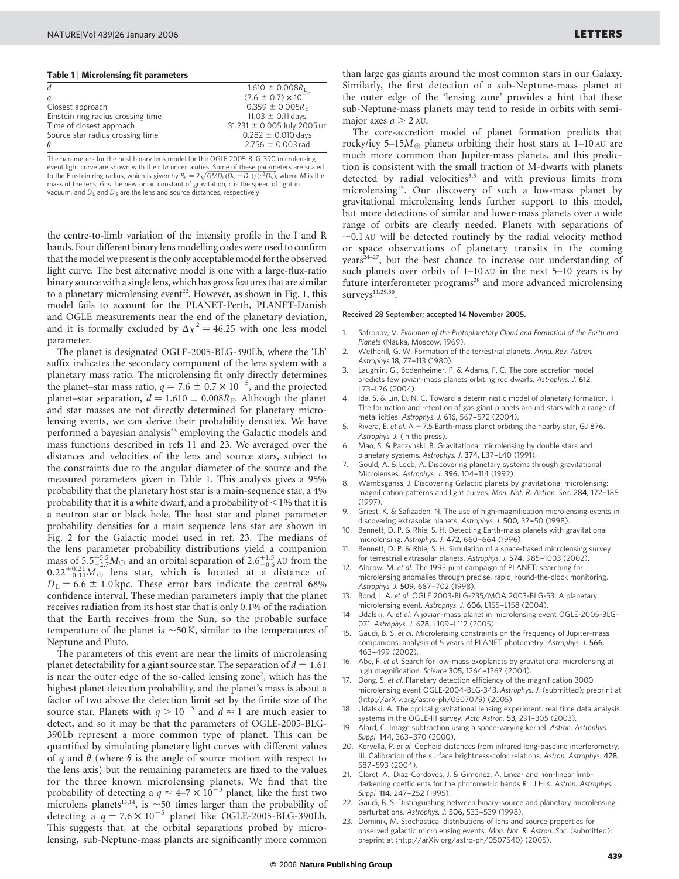## Table 1 | Microlensing fit parameters

|                                    | $1.610 \pm 0.008 R_F$          |
|------------------------------------|--------------------------------|
| a                                  | $(7.6 \pm 0.7) \times 10^{-5}$ |
| Closest approach                   | $0.359 \pm 0.005R_F$           |
| Einstein ring radius crossing time | 11.03 $\pm$ 0.11 days          |
| Time of closest approach           | 31.231 ± 0.005 July 2005 UT    |
| Source star radius crossing time   | $0.282 \pm 0.010$ days         |
|                                    | $2.756 \pm 0.003$ rad          |
|                                    |                                |

The parameters for the best binary lens model for the OGLE 2005-BLG-390 microlensing event light curve are shown with their 1 $\sigma$  uncertainties. Some of these parameters are scaled to the Einstein ring radius, which is given by  $R_E = 2\sqrt{GMD_L(D_S - D_L)/(c^2D_S)}$ , where M is the mass of the lens, G is the newtonian constant of gravitation, c is the speed of light in vacuum, and  $D_L$  and  $D_S$  are the lens and source distances, respectively.

the centre-to-limb variation of the intensity profile in the I and R bands. Four different binary lens modelling codes were used to confirm that the model we present is the only acceptable model for the observed light curve. The best alternative model is one with a large-flux-ratio binary source with a single lens, which has gross features that are similar to a planetary microlensing event<sup>22</sup>. However, as shown in Fig. 1, this model fails to account for the PLANET-Perth, PLANET-Danish and OGLE measurements near the end of the planetary deviation, and it is formally excluded by  $\Delta \chi^2 = 46.25$  with one less model parameter.

The planet is designated OGLE-2005-BLG-390Lb, where the 'Lb' suffix indicates the secondary component of the lens system with a planetary mass ratio. The microlensing fit only directly determines the planet–star mass ratio,  $q = 7.6 \pm 0.7 \times 10^{-5}$ , and the projected planet–star separation,  $d = 1.610 \pm 0.008R_E$ . Although the planet and star masses are not directly determined for planetary microlensing events, we can derive their probability densities. We have performed a bayesian analysis<sup>23</sup> employing the Galactic models and mass functions described in refs 11 and 23. We averaged over the distances and velocities of the lens and source stars, subject to the constraints due to the angular diameter of the source and the measured parameters given in Table 1. This analysis gives a 95% probability that the planetary host star is a main-sequence star, a 4% probability that it is a white dwarf, and a probability of  $\leq$ 1% that it is a neutron star or black hole. The host star and planet parameter probability densities for a main sequence lens star are shown in Fig. 2 for the Galactic model used in ref. 23. The medians of the lens parameter probability distributions yield a companion mass of  $5.5^{+5.5}_{-2.7}M_{\oplus}$  and an orbital separation of  $2.6^{+1.5}_{-0.6}$  AU from the  $0.22^{+0.21}_{-0.11}$  $M_{\odot}$  lens star, which is located at a distance of  $D_{\rm L}$  = 6.6  $\pm$  1.0 kpc. These error bars indicate the central 68% confidence interval. These median parameters imply that the planet receives radiation from its host star that is only 0.1% of the radiation that the Earth receives from the Sun, so the probable surface temperature of the planet is  $\sim$  50 K, similar to the temperatures of Neptune and Pluto.

The parameters of this event are near the limits of microlensing planet detectability for a giant source star. The separation of  $d = 1.61$ is near the outer edge of the so-called lensing zone<sup>7</sup>, which has the highest planet detection probability, and the planet's mass is about a factor of two above the detection limit set by the finite size of the source star. Planets with  $q > 10^{-3}$  and  $d \approx 1$  are much easier to detect, and so it may be that the parameters of OGLE-2005-BLG-390Lb represent a more common type of planet. This can be quantified by simulating planetary light curves with different values of q and  $\theta$  (where  $\theta$  is the angle of source motion with respect to the lens axis) but the remaining parameters are fixed to the values for the three known microlensing planets. We find that the probability of detecting a  $q \approx 4-7 \times 10^{-3}$  planet, like the first two microlens planets<sup>13,14</sup>, is  $\sim$  50 times larger than the probability of detecting a  $q = 7.6 \times 10^{-5}$  planet like OGLE-2005-BLG-390Lb. This suggests that, at the orbital separations probed by microlensing, sub-Neptune-mass planets are significantly more common

than large gas giants around the most common stars in our Galaxy. Similarly, the first detection of a sub-Neptune-mass planet at the outer edge of the 'lensing zone' provides a hint that these sub-Neptune-mass planets may tend to reside in orbits with semimajor axes  $a > 2$  AU.

The core-accretion model of planet formation predicts that rocky/icy 5–15 $M_{\oplus}$  planets orbiting their host stars at 1–10 AU are much more common than Jupiter-mass planets, and this prediction is consistent with the small fraction of M-dwarfs with planets detected by radial velocities<sup>3,5</sup> and with previous limits from microlensing15. Our discovery of such a low-mass planet by gravitational microlensing lends further support to this model, but more detections of similar and lower-mass planets over a wide range of orbits are clearly needed. Planets with separations of  $\sim$ 0.1 AU will be detected routinely by the radial velocity method or space observations of planetary transits in the coming years<sup>24-27</sup>, but the best chance to increase our understanding of such planets over orbits of 1–10 AU in the next 5–10 years is by future interferometer programs<sup>28</sup> and more advanced microlensing  $surveys<sup>11,29,30</sup>$ .

## Received 28 September; accepted 14 November 2005.

- 1. Safronov, V. Evolution of the Protoplanetary Cloud and Formation of the Earth and Planets (Nauka, Moscow, 1969).
- 2. Wetherill, G. W. Formation of the terrestrial planets. Annu. Rev. Astron. Astrophys 18, 77-113 (1980).
- 3. Laughlin, G., Bodenheimer, P. & Adams, F. C. The core accretion model predicts few jovian-mass planets orbiting red dwarfs. Astrophys. J. 612, L73-L76 (2004)
- 4. Ida, S. & Lin, D. N. C. Toward a deterministic model of planetary formation. II. The formation and retention of gas giant planets around stars with a range of metallicities. Astrophys. J. 616, 567-572 (2004).
- Rivera, E. et al. A  $\sim$  7.5 Earth-mass planet orbiting the nearby star, GJ 876. Astrophys. J. (in the press).
- 6. Mao, S. & Paczynski, B. Gravitational microlensing by double stars and planetary systems. Astrophys. J. 374, L37-L40 (1991).
- 7. Gould, A. & Loeb, A. Discovering planetary systems through gravitational Microlenses. Astrophys. J. 396, 104-114 (1992).
- Wambsganss, J. Discovering Galactic planets by gravitational microlensing: magnification patterns and light curves. Mon. Not. R. Astron. Soc. 284, 172–-188 (1997).
- Griest, K. & Safizadeh, N. The use of high-magnification microlensing events in discovering extrasolar planets. Astrophys. J. 500, 37-50 (1998).
- Bennett, D. P. & Rhie, S. H. Detecting Earth-mass planets with gravitational microlensing. Astrophys. J. 472, 660-664 (1996).
- 11. Bennett, D. P. & Rhie, S. H. Simulation of a space-based microlensing survey for terrestrial extrasolar planets. Astrophys. J. 574, 985-1003 (2002).
- 12. Albrow, M. et al. The 1995 pilot campaign of PLANET: searching for microlensing anomalies through precise, rapid, round-the-clock monitoring. Astrophys. J. 509, 687-702 (1998).
- 13. Bond, I. A. et al. OGLE 2003-BLG-235/MOA 2003-BLG-53: A planetary microlensing event. Astrophys. J. 606, L155-L158 (2004).
- Udalski, A. et al. A jovian-mass planet in microlensing event OGLE-2005-BLG-071. Astrophys. J. 628, L109-L112 (2005).
- 15. Gaudi, B. S. et al. Microlensing constraints on the frequency of Jupiter-mass companions: analysis of 5 years of PLANET photometry. Astrophys. J. 566, 463–-499 (2002).
- Abe, F. et al. Search for low-mass exoplanets by gravitational microlensing at high magnification. Science 305, 1264–-1267 (2004).
- 17. Dong, S. et al. Planetary detection efficiency of the magnification 3000 microlensing event OGLE-2004-BLG-343. Astrophys. J. (submitted); preprint at (http://arXiv.org/astro-ph/0507079) (2005).
- Udalski, A. The optical gravitational lensing experiment. real time data analysis systems in the OGLE-III survey. Acta Astron. 53, 291-305 (2003).
- 19. Alard, C. Image subtraction using a space-varying kernel. Astron. Astrophys. Suppl. 144, 363-370 (2000).
- 20. Kervella, P. et al. Cepheid distances from infrared long-baseline interferometry. III. Calibration of the surface brightness-color relations. Astron. Astrophys. 428, 587–593 (2004).
- 21. Claret, A., Diaz-Cordoves, J. & Gimenez, A. Linear and non-linear limbdarkening coefficients for the photometric bands R I J H K. Astron. Astrophys. Suppl. 114, 247-252 (1995).
- 22. Gaudi, B. S. Distinguishing between binary-source and planetary microlensing perturbations. Astrophys. J. 506, 533-539 (1998).
- 23. Dominik, M. Stochastical distributions of lens and source properties for observed galactic microlensing events. Mon. Not. R. Astron. Soc. (submitted); preprint at  $\langle$ http://arXiv.org/astro-ph/0507540) (2005).